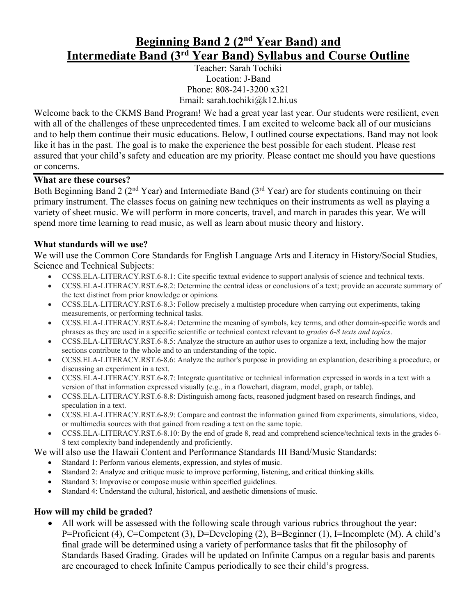# **Beginning Band 2 (2nd Year Band) and Intermediate Band (3rd Year Band) Syllabus and Course Outline**

Teacher: Sarah Tochiki Location: J-Band Phone: 808-241-3200 x321 Email: sarah.tochiki@k12.hi.us

Welcome back to the CKMS Band Program! We had a great year last year. Our students were resilient, even with all of the challenges of these unprecedented times. I am excited to welcome back all of our musicians and to help them continue their music educations. Below, I outlined course expectations. Band may not look like it has in the past. The goal is to make the experience the best possible for each student. Please rest assured that your child's safety and education are my priority. Please contact me should you have questions or concerns.

## **What are these courses?**

Both Beginning Band 2 ( $2<sup>nd</sup> Year$ ) and Intermediate Band ( $3<sup>rd</sup> Year$ ) are for students continuing on their primary instrument. The classes focus on gaining new techniques on their instruments as well as playing a variety of sheet music. We will perform in more concerts, travel, and march in parades this year. We will spend more time learning to read music, as well as learn about music theory and history.

## **What standards will we use?**

We will use the Common Core Standards for English Language Arts and Literacy in History/Social Studies, Science and Technical Subjects:

- CCSS.ELA-LITERACY.RST.6-8.1: Cite specific textual evidence to support analysis of science and technical texts.
- CCSS.ELA-LITERACY.RST.6-8.2: Determine the central ideas or conclusions of a text; provide an accurate summary of the text distinct from prior knowledge or opinions.
- CCSS.ELA-LITERACY.RST.6-8.3: Follow precisely a multistep procedure when carrying out experiments, taking measurements, or performing technical tasks.
- CCSS.ELA-LITERACY.RST.6-8.4: Determine the meaning of symbols, key terms, and other domain-specific words and phrases as they are used in a specific scientific or technical context relevant to *grades 6-8 texts and topics*.
- CCSS.ELA-LITERACY.RST.6-8.5: Analyze the structure an author uses to organize a text, including how the major sections contribute to the whole and to an understanding of the topic.
- CCSS.ELA-LITERACY.RST.6-8.6: Analyze the author's purpose in providing an explanation, describing a procedure, or discussing an experiment in a text.
- CCSS.ELA-LITERACY.RST.6-8.7: Integrate quantitative or technical information expressed in words in a text with a version of that information expressed visually (e.g., in a flowchart, diagram, model, graph, or table).
- CCSS.ELA-LITERACY.RST.6-8.8: Distinguish among facts, reasoned judgment based on research findings, and speculation in a text.
- CCSS.ELA-LITERACY.RST.6-8.9: Compare and contrast the information gained from experiments, simulations, video, or multimedia sources with that gained from reading a text on the same topic.
- CCSS.ELA-LITERACY.RST.6-8.10: By the end of grade 8, read and comprehend science/technical texts in the grades 6- 8 text complexity band independently and proficiently.

We will also use the Hawaii Content and Performance Standards III Band/Music Standards:

- Standard 1: Perform various elements, expression, and styles of music.
- Standard 2: Analyze and critique music to improve performing, listening, and critical thinking skills.
- Standard 3: Improvise or compose music within specified guidelines.
- Standard 4: Understand the cultural, historical, and aesthetic dimensions of music.

## **How will my child be graded?**

• All work will be assessed with the following scale through various rubrics throughout the year: P=Proficient (4), C=Competent (3), D=Developing (2), B=Beginner (1), I=Incomplete (M). A child's final grade will be determined using a variety of performance tasks that fit the philosophy of Standards Based Grading. Grades will be updated on Infinite Campus on a regular basis and parents are encouraged to check Infinite Campus periodically to see their child's progress.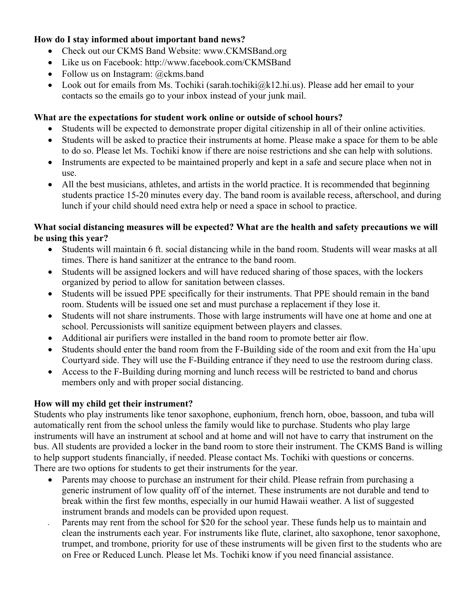## **How do I stay informed about important band news?**

- Check out our CKMS Band Website: www.CKMSBand.org
- Like us on Facebook: http://www.facebook.com/CKMSBand
- Follow us on Instagram: @ckms.band
- Look out for emails from Ms. Tochiki (sarah.tochiki $@k12\ldots$ hi.us). Please add her email to your contacts so the emails go to your inbox instead of your junk mail.

## **What are the expectations for student work online or outside of school hours?**

- Students will be expected to demonstrate proper digital citizenship in all of their online activities.
- Students will be asked to practice their instruments at home. Please make a space for them to be able to do so. Please let Ms. Tochiki know if there are noise restrictions and she can help with solutions.
- Instruments are expected to be maintained properly and kept in a safe and secure place when not in use.
- All the best musicians, athletes, and artists in the world practice. It is recommended that beginning students practice 15-20 minutes every day. The band room is available recess, afterschool, and during lunch if your child should need extra help or need a space in school to practice.

## **What social distancing measures will be expected? What are the health and safety precautions we will be using this year?**

- Students will maintain 6 ft. social distancing while in the band room. Students will wear masks at all times. There is hand sanitizer at the entrance to the band room.
- Students will be assigned lockers and will have reduced sharing of those spaces, with the lockers organized by period to allow for sanitation between classes.
- Students will be issued PPE specifically for their instruments. That PPE should remain in the band room. Students will be issued one set and must purchase a replacement if they lose it.
- Students will not share instruments. Those with large instruments will have one at home and one at school. Percussionists will sanitize equipment between players and classes.
- Additional air purifiers were installed in the band room to promote better air flow.
- Students should enter the band room from the F-Building side of the room and exit from the Ha`upu Courtyard side. They will use the F-Building entrance if they need to use the restroom during class.
- Access to the F-Building during morning and lunch recess will be restricted to band and chorus members only and with proper social distancing.

## **How will my child get their instrument?**

Students who play instruments like tenor saxophone, euphonium, french horn, oboe, bassoon, and tuba will automatically rent from the school unless the family would like to purchase. Students who play large instruments will have an instrument at school and at home and will not have to carry that instrument on the bus. All students are provided a locker in the band room to store their instrument. The CKMS Band is willing to help support students financially, if needed. Please contact Ms. Tochiki with questions or concerns. There are two options for students to get their instruments for the year.

- Parents may choose to purchase an instrument for their child. Please refrain from purchasing a generic instrument of low quality off of the internet. These instruments are not durable and tend to break within the first few months, especially in our humid Hawaii weather. A list of suggested instrument brands and models can be provided upon request.
- Parents may rent from the school for \$20 for the school year. These funds help us to maintain and clean the instruments each year. For instruments like flute, clarinet, alto saxophone, tenor saxophone, trumpet, and trombone, priority for use of these instruments will be given first to the students who are on Free or Reduced Lunch. Please let Ms. Tochiki know if you need financial assistance.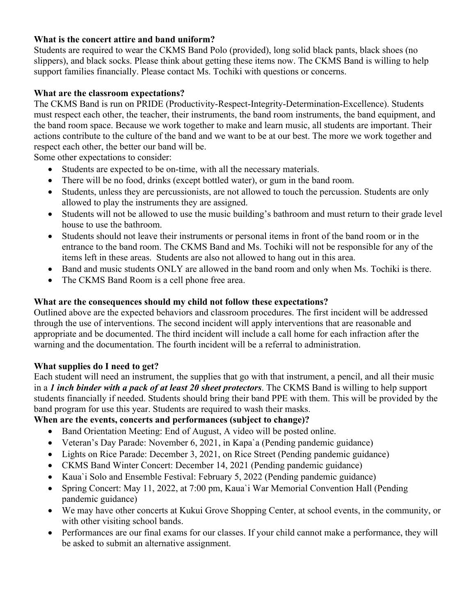## **What is the concert attire and band uniform?**

Students are required to wear the CKMS Band Polo (provided), long solid black pants, black shoes (no slippers), and black socks. Please think about getting these items now. The CKMS Band is willing to help support families financially. Please contact Ms. Tochiki with questions or concerns.

## **What are the classroom expectations?**

The CKMS Band is run on PRIDE (Productivity-Respect-Integrity-Determination-Excellence). Students must respect each other, the teacher, their instruments, the band room instruments, the band equipment, and the band room space. Because we work together to make and learn music, all students are important. Their actions contribute to the culture of the band and we want to be at our best. The more we work together and respect each other, the better our band will be.

Some other expectations to consider:

- Students are expected to be on-time, with all the necessary materials.
- There will be no food, drinks (except bottled water), or gum in the band room.
- Students, unless they are percussionists, are not allowed to touch the percussion. Students are only allowed to play the instruments they are assigned.
- Students will not be allowed to use the music building's bathroom and must return to their grade level house to use the bathroom.
- Students should not leave their instruments or personal items in front of the band room or in the entrance to the band room. The CKMS Band and Ms. Tochiki will not be responsible for any of the items left in these areas. Students are also not allowed to hang out in this area.
- Band and music students ONLY are allowed in the band room and only when Ms. Tochiki is there.
- The CKMS Band Room is a cell phone free area.

## **What are the consequences should my child not follow these expectations?**

Outlined above are the expected behaviors and classroom procedures. The first incident will be addressed through the use of interventions. The second incident will apply interventions that are reasonable and appropriate and be documented. The third incident will include a call home for each infraction after the warning and the documentation. The fourth incident will be a referral to administration.

## **What supplies do I need to get?**

Each student will need an instrument, the supplies that go with that instrument, a pencil, and all their music in a *1 inch binder with a pack of at least 20 sheet protectors*. The CKMS Band is willing to help support students financially if needed. Students should bring their band PPE with them. This will be provided by the band program for use this year. Students are required to wash their masks.

## **When are the events, concerts and performances (subject to change)?**

- Band Orientation Meeting: End of August, A video will be posted online.
- Veteran's Day Parade: November 6, 2021, in Kapa`a (Pending pandemic guidance)
- Lights on Rice Parade: December 3, 2021, on Rice Street (Pending pandemic guidance)
- CKMS Band Winter Concert: December 14, 2021 (Pending pandemic guidance)
- Kaua'i Solo and Ensemble Festival: February 5, 2022 (Pending pandemic guidance)
- Spring Concert: May 11, 2022, at 7:00 pm, Kaua'i War Memorial Convention Hall (Pending pandemic guidance)
- We may have other concerts at Kukui Grove Shopping Center, at school events, in the community, or with other visiting school bands.
- Performances are our final exams for our classes. If your child cannot make a performance, they will be asked to submit an alternative assignment.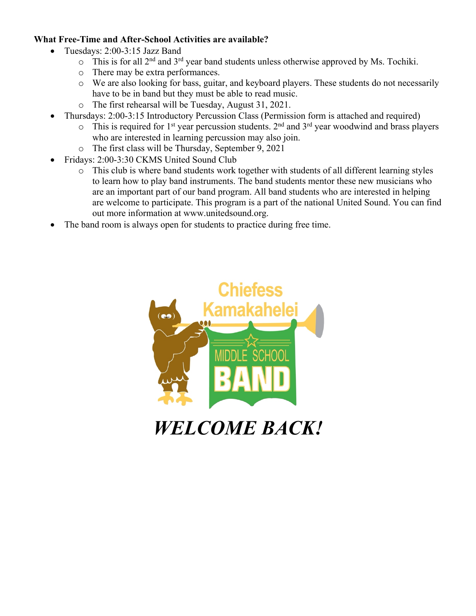## **What Free-Time and After-School Activities are available?**

- Tuesdays: 2:00-3:15 Jazz Band
	- $\circ$  This is for all 2<sup>nd</sup> and 3<sup>rd</sup> year band students unless otherwise approved by Ms. Tochiki.
	- o There may be extra performances.
	- o We are also looking for bass, guitar, and keyboard players. These students do not necessarily have to be in band but they must be able to read music.
	- o The first rehearsal will be Tuesday, August 31, 2021.
- Thursdays: 2:00-3:15 Introductory Percussion Class (Permission form is attached and required)
	- $\circ$  This is required for 1<sup>st</sup> year percussion students. 2<sup>nd</sup> and 3<sup>rd</sup> year woodwind and brass players who are interested in learning percussion may also join.
	- o The first class will be Thursday, September 9, 2021
- Fridays: 2:00-3:30 CKMS United Sound Club
	- o This club is where band students work together with students of all different learning styles to learn how to play band instruments. The band students mentor these new musicians who are an important part of our band program. All band students who are interested in helping are welcome to participate. This program is a part of the national United Sound. You can find out more information at www.unitedsound.org.
- The band room is always open for students to practice during free time.



*WELCOME BACK!*